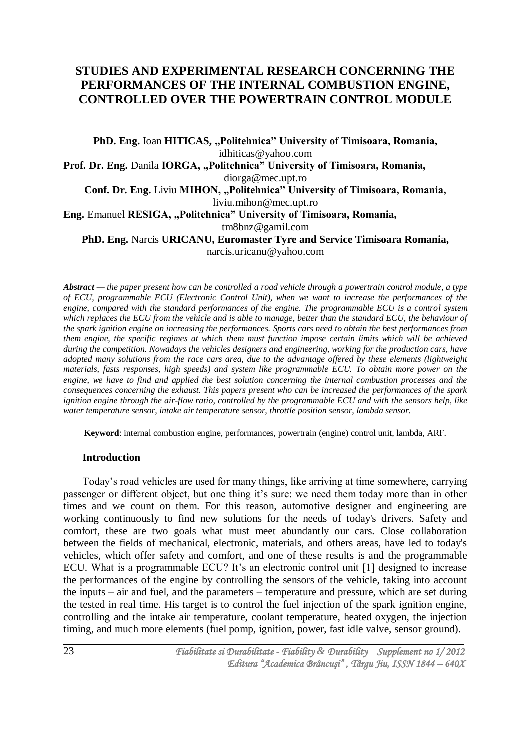# **STUDIES AND EXPERIMENTAL RESEARCH CONCERNING THE PERFORMANCES OF THE INTERNAL COMBUSTION ENGINE, CONTROLLED OVER THE POWERTRAIN CONTROL MODULE**

PhD. Eng. Ioan HITICAS, "Politehnica" University of Timisoara, Romania, [idhiticas@yahoo.com](mailto:idhiticas@yahoo.com) Prof. Dr. Eng. Danila **IORGA, "Politehnica**" University of Timisoara, Romania, [diorga@mec.upt.ro](mailto:diorga@mec.upt.ro) **Conf. Dr. Eng. Liviu MIHON, "Politehnica" University of Timisoara, Romania,** [liviu.mihon@mec.upt.ro](mailto:liviu.mihon@mec.upt.ro) **Eng.** Emanuel **RESIGA, "Politehnica" University of Timisoara, Romania,** [tm8bnz@gamil.com](mailto:tm8bnz@gamil.com) **PhD. Eng.** Narcis **URICANU, Euromaster Tyre and Service Timisoara Romania,**  [narcis.uricanu@yahoo.com](mailto:narcis.uricanu@yahoo.com)

*Abstract — the paper present how can be controlled a road vehicle through a powertrain control module, a type of ECU, programmable ECU (Electronic Control Unit), when we want to increase the performances of the engine, compared with the standard performances of the engine. The programmable ECU is a control system*  which replaces the ECU from the vehicle and is able to manage, better than the standard ECU, the behaviour of *the spark ignition engine on increasing the performances. Sports cars need to obtain the best performances from them engine, the specific regimes at which them must function impose certain limits which will be achieved during the competition. Nowadays the vehicles designers and engineering, working for the production cars, have adopted many solutions from the race cars area, due to the advantage offered by these elements (lightweight materials, fasts responses, high speeds) and system like programmable ECU. To obtain more power on the engine, we have to find and applied the best solution concerning the internal combustion processes and the consequences concerning the exhaust. This papers present who can be increased the performances of the spark ignition engine through the air-flow ratio, controlled by the programmable ECU and with the sensors help, like water temperature sensor, intake air temperature sensor, throttle position sensor, lambda sensor.*

**Keyword**: internal combustion engine, performances, powertrain (engine) control unit, lambda, ARF.

#### **Introduction**

Today's road vehicles are used for many things, like arriving at time somewhere, carrying passenger or different object, but one thing it's sure: we need them today more than in other times and we count on them. For this reason, automotive designer and engineering are working continuously to find new solutions for the needs of today's drivers. Safety and comfort, these are two goals what must meet abundantly our cars. Close collaboration between the fields of mechanical, electronic, materials, and others areas, have led to today's vehicles, which offer safety and comfort, and one of these results is and the programmable ECU. What is a programmable ECU? It's an electronic control unit [1] designed to increase the performances of the engine by controlling the sensors of the vehicle, taking into account the inputs – air and fuel, and the parameters – temperature and pressure, which are set during the tested in real time. His target is to control the fuel injection of the spark ignition engine, controlling and the intake air temperature, coolant temperature, heated oxygen, the injection timing, and much more elements (fuel pomp, ignition, power, fast idle valve, sensor ground).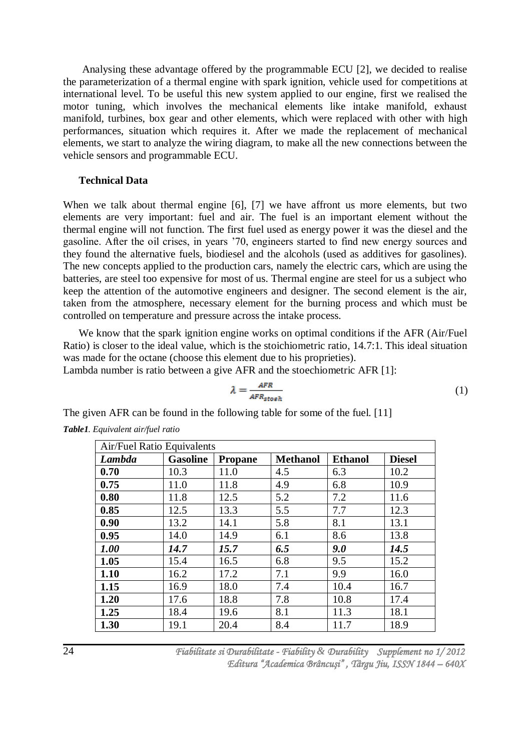Analysing these advantage offered by the programmable ECU [2], we decided to realise the parameterization of a thermal engine with spark ignition, vehicle used for competitions at international level. To be useful this new system applied to our engine, first we realised the motor tuning, which involves the mechanical elements like intake manifold, exhaust manifold, turbines, box gear and other elements, which were replaced with other with high performances, situation which requires it. After we made the replacement of mechanical elements, we start to analyze the wiring diagram, to make all the new connections between the vehicle sensors and programmable ECU.

### **Technical Data**

When we talk about thermal engine [6], [7] we have affront us more elements, but two elements are very important: fuel and air. The fuel is an important element without the thermal engine will not function. The first fuel used as energy power it was the diesel and the gasoline. After the oil crises, in years '70, engineers started to find new energy sources and they found the alternative fuels, biodiesel and the alcohols (used as additives for gasolines). The new concepts applied to the production cars, namely the electric cars, which are using the batteries, are steel too expensive for most of us. Thermal engine are steel for us a subject who keep the attention of the automotive engineers and designer. The second element is the air, taken from the atmosphere, necessary element for the burning process and which must be controlled on temperature and pressure across the intake process.

We know that the spark ignition engine works on optimal conditions if the AFR (Air/Fuel Ratio) is closer to the ideal value, which is the stoichiometric ratio, 14.7:1. This ideal situation was made for the octane (choose this element due to his proprieties).

Lambda number is ratio between a give AFR and the stoechiometric AFR [1]:

$$
\lambda = \frac{AFR}{AFR_{stop}} \tag{1}
$$

The given AFR can be found in the following table for some of the fuel. [11]

| <b>Air/Fuel Ratio Equivalents</b> |                 |                |                 |                |               |
|-----------------------------------|-----------------|----------------|-----------------|----------------|---------------|
| <b>Lambda</b>                     | <b>Gasoline</b> | <b>Propane</b> | <b>Methanol</b> | <b>Ethanol</b> | <b>Diesel</b> |
| 0.70                              | 10.3            | 11.0           | 4.5             | 6.3            | 10.2          |
| 0.75                              | 11.0            | 11.8           | 4.9             | 6.8            | 10.9          |
| 0.80                              | 11.8            | 12.5           | 5.2             | 7.2            | 11.6          |
| 0.85                              | 12.5            | 13.3           | 5.5             | 7.7            | 12.3          |
| 0.90                              | 13.2            | 14.1           | 5.8             | 8.1            | 13.1          |
| 0.95                              | 14.0            | 14.9           | 6.1             | 8.6            | 13.8          |
| 1.00                              | 14.7            | 15.7           | 6.5             | 9.0            | 14.5          |
| 1.05                              | 15.4            | 16.5           | 6.8             | 9.5            | 15.2          |
| 1.10                              | 16.2            | 17.2           | 7.1             | 9.9            | 16.0          |
| 1.15                              | 16.9            | 18.0           | 7.4             | 10.4           | 16.7          |
| 1.20                              | 17.6            | 18.8           | 7.8             | 10.8           | 17.4          |
| 1.25                              | 18.4            | 19.6           | 8.1             | 11.3           | 18.1          |
| 1.30                              | 19.1            | 20.4           | 8.4             | 11.7           | 18.9          |

*Table1. Equivalent air/fuel ratio*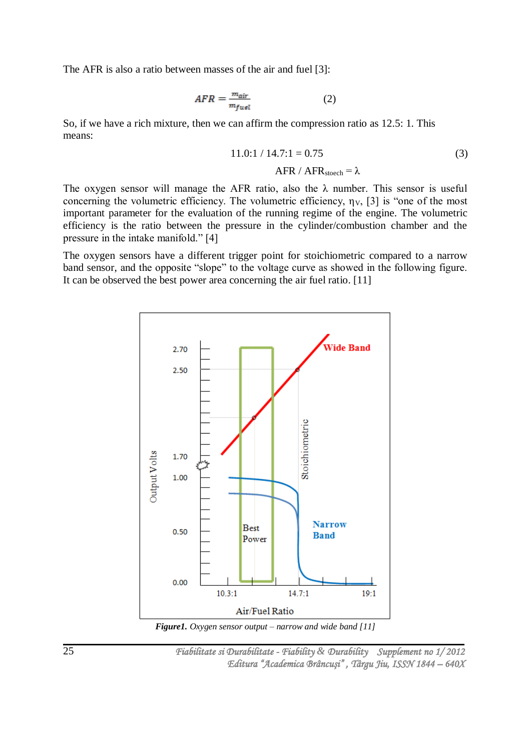The AFR is also a ratio between masses of the air and fuel [3]:

$$
AFR = \frac{m_{air}}{m_{fuel}} \tag{2}
$$

So, if we have a rich mixture, then we can affirm the compression ratio as 12.5: 1. This means:

$$
11.0:1 / 14.7:1 = 0.75
$$
  
AFR / AFR<sub>stock</sub> =  $\lambda$  (3)

The oxygen sensor will manage the AFR ratio, also the  $\lambda$  number. This sensor is useful concerning the volumetric efficiency. The volumetric efficiency,  $\eta_V$ , [3] is "one of the most important parameter for the evaluation of the running regime of the engine. The volumetric efficiency is the ratio between the pressure in the cylinder/combustion chamber and the pressure in the intake manifold." [4]

The oxygen sensors have a different trigger point for stoichiometric compared to a narrow band sensor, and the opposite "slope" to the voltage curve as showed in the following figure. It can be observed the best power area concerning the air fuel ratio. [11]



*Figure1. Oxygen sensor output – narrow and wide band [11]*

 *Fiabilitate si Durabilitate - Fiability & Durability Supplement no 1/ 2012 Editura "Academica Brâncuşi" , Târgu Jiu, ISSN 1844 – 640X*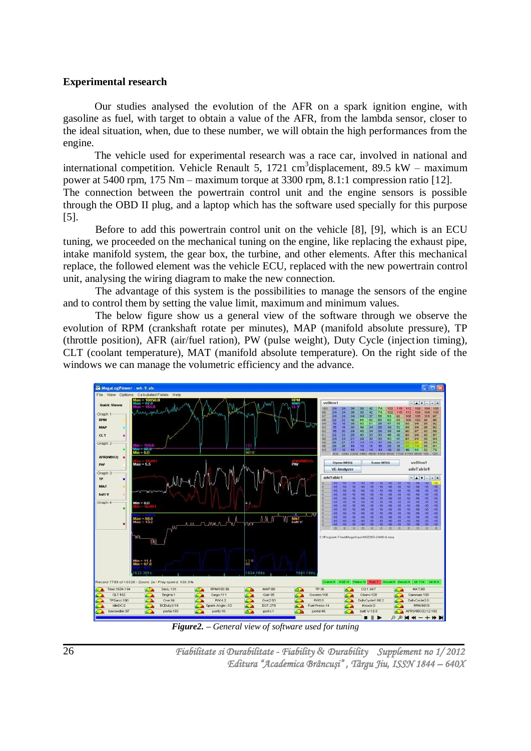#### **Experimental research**

Our studies analysed the evolution of the AFR on a spark ignition engine, with gasoline as fuel, with target to obtain a value of the AFR, from the lambda sensor, closer to the ideal situation, when, due to these number, we will obtain the high performances from the engine.

The vehicle used for experimental research was a race car, involved in national and international competition. Vehicle Renault 5, 1721 cm<sup>3</sup>displacement, 89.5 kW – maximum power at 5400 rpm, 175 Nm – maximum torque at 3300 rpm, 8.1:1 compression ratio [12]. The connection between the powertrain control unit and the engine sensors is possible through the OBD II plug, and a laptop which has the software used specially for this purpose [5].

Before to add this powertrain control unit on the vehicle [8], [9], which is an ECU tuning, we proceeded on the mechanical tuning on the engine, like replacing the exhaust pipe, intake manifold system, the gear box, the turbine, and other elements. After this mechanical replace, the followed element was the vehicle ECU, replaced with the new powertrain control unit, analysing the wiring diagram to make the new connection.

The advantage of this system is the possibilities to manage the sensors of the engine and to control them by setting the value limit, maximum and minimum values.

The below figure show us a general view of the software through we observe the evolution of RPM (crankshaft rotate per minutes), MAP (manifold absolute pressure), TP (throttle position), AFR (air/fuel ration), PW (pulse weight), Duty Cycle (injection timing), CLT (coolant temperature), MAT (manifold absolute temperature). On the right side of the windows we can manage the volumetric efficiency and the advance.



*Figure2. – General view of software used for tuning*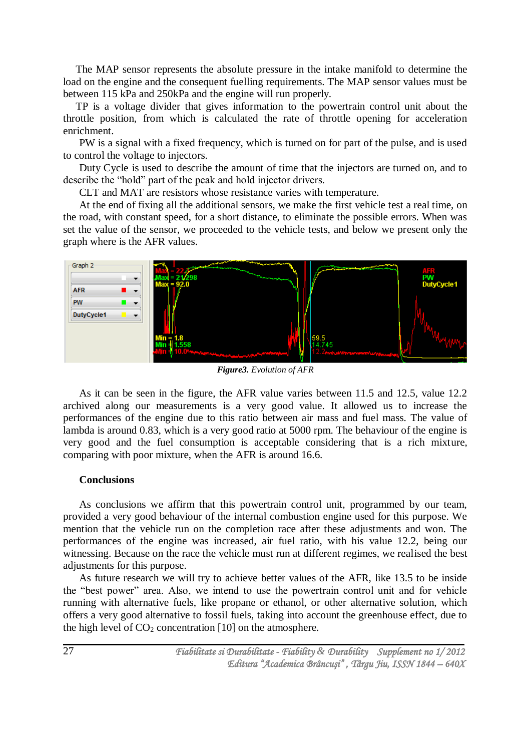The MAP sensor represents the absolute pressure in the intake manifold to determine the load on the engine and the consequent fuelling requirements. The MAP sensor values must be between 115 kPa and 250kPa and the engine will run properly.

TP is a voltage divider that gives information to the powertrain control unit about the throttle position, from which is calculated the rate of throttle opening for acceleration enrichment.

PW is a signal with a fixed frequency, which is turned on for part of the pulse, and is used to control the voltage to injectors.

Duty Cycle is used to describe the amount of time that the injectors are turned on, and to describe the "hold" part of the peak and hold injector drivers.

CLT and MAT are resistors whose resistance varies with temperature.

At the end of fixing all the additional sensors, we make the first vehicle test a real time, on the road, with constant speed, for a short distance, to eliminate the possible errors. When was set the value of the sensor, we proceeded to the vehicle tests, and below we present only the graph where is the AFR values.



*Figure3. Evolution of AFR*

As it can be seen in the figure, the AFR value varies between 11.5 and 12.5, value 12.2 archived along our measurements is a very good value. It allowed us to increase the performances of the engine due to this ratio between air mass and fuel mass. The value of lambda is around 0.83, which is a very good ratio at 5000 rpm. The behaviour of the engine is very good and the fuel consumption is acceptable considering that is a rich mixture, comparing with poor mixture, when the AFR is around 16.6.

### **Conclusions**

As conclusions we affirm that this powertrain control unit, programmed by our team, provided a very good behaviour of the internal combustion engine used for this purpose. We mention that the vehicle run on the completion race after these adjustments and won. The performances of the engine was increased, air fuel ratio, with his value 12.2, being our witnessing. Because on the race the vehicle must run at different regimes, we realised the best adjustments for this purpose.

As future research we will try to achieve better values of the AFR, like 13.5 to be inside the "best power" area. Also, we intend to use the powertrain control unit and for vehicle running with alternative fuels, like propane or ethanol, or other alternative solution, which offers a very good alternative to fossil fuels, taking into account the greenhouse effect, due to the high level of  $CO<sub>2</sub>$  concentration [10] on the atmosphere.